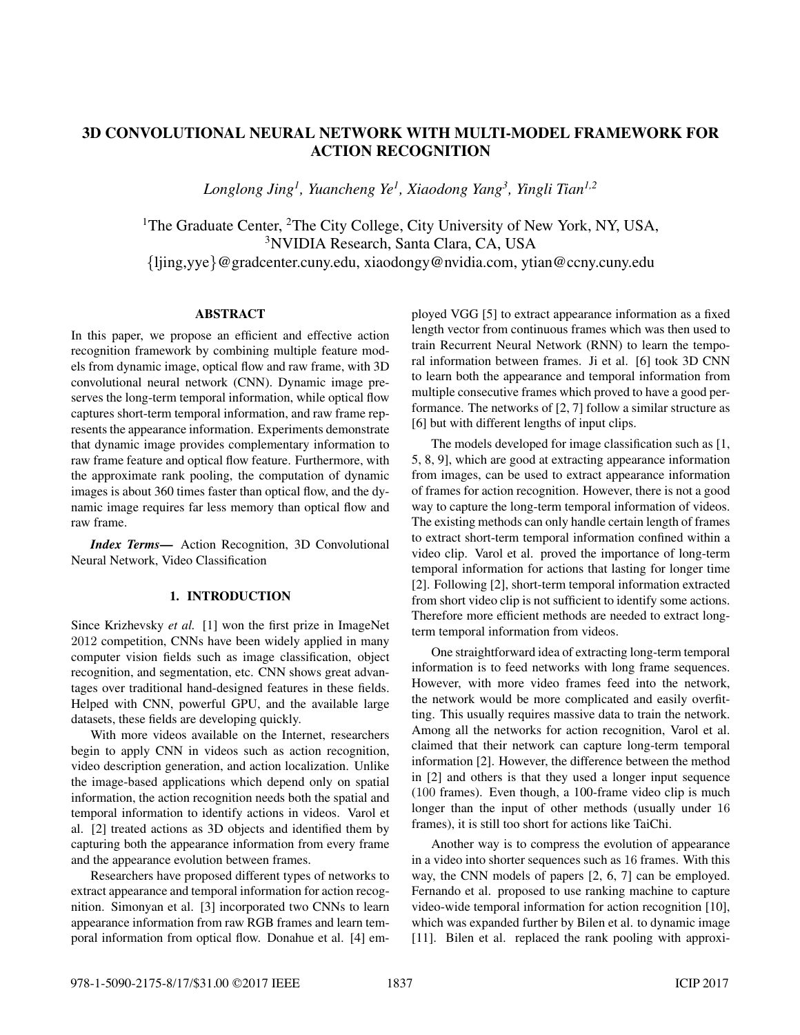# 3D CONVOLUTIONAL NEURAL NETWORK WITH MULTI-MODEL FRAMEWORK FOR ACTION RECOGNITION

*Longlong Jing1, Yuancheng Ye1, Xiaodong Yang3, Yingli Tian1,2*

<sup>1</sup>The Graduate Center,  ${}^{2}$ The City College, City University of New York, NY, USA, 3NVIDIA Research, Santa Clara, CA, USA {ljing,yye}@gradcenter.cuny.edu, xiaodongy@nvidia.com, ytian@ccny.cuny.edu

### ABSTRACT

In this paper, we propose an efficient and effective action recognition framework by combining multiple feature models from dynamic image, optical flow and raw frame, with 3D convolutional neural network (CNN). Dynamic image preserves the long-term temporal information, while optical flow captures short-term temporal information, and raw frame represents the appearance information. Experiments demonstrate that dynamic image provides complementary information to raw frame feature and optical flow feature. Furthermore, with the approximate rank pooling, the computation of dynamic images is about 360 times faster than optical flow, and the dynamic image requires far less memory than optical flow and raw frame.

*Index Terms*— Action Recognition, 3D Convolutional Neural Network, Video Classification

## 1. INTRODUCTION

Since Krizhevsky *et al.* [1] won the first prize in ImageNet 2012 competition, CNNs have been widely applied in many computer vision fields such as image classification, object recognition, and segmentation, etc. CNN shows great advantages over traditional hand-designed features in these fields. Helped with CNN, powerful GPU, and the available large datasets, these fields are developing quickly.

With more videos available on the Internet, researchers begin to apply CNN in videos such as action recognition, video description generation, and action localization. Unlike the image-based applications which depend only on spatial information, the action recognition needs both the spatial and temporal information to identify actions in videos. Varol et al. [2] treated actions as 3D objects and identified them by capturing both the appearance information from every frame and the appearance evolution between frames.

Researchers have proposed different types of networks to extract appearance and temporal information for action recognition. Simonyan et al. [3] incorporated two CNNs to learn appearance information from raw RGB frames and learn temporal information from optical flow. Donahue et al. [4] employed VGG [5] to extract appearance information as a fixed length vector from continuous frames which was then used to train Recurrent Neural Network (RNN) to learn the temporal information between frames. Ji et al. [6] took 3D CNN to learn both the appearance and temporal information from multiple consecutive frames which proved to have a good performance. The networks of [2, 7] follow a similar structure as [6] but with different lengths of input clips.

The models developed for image classification such as [1, 5, 8, 9], which are good at extracting appearance information from images, can be used to extract appearance information of frames for action recognition. However, there is not a good way to capture the long-term temporal information of videos. The existing methods can only handle certain length of frames to extract short-term temporal information confined within a video clip. Varol et al. proved the importance of long-term temporal information for actions that lasting for longer time [2]. Following [2], short-term temporal information extracted from short video clip is not sufficient to identify some actions. Therefore more efficient methods are needed to extract longterm temporal information from videos.

One straightforward idea of extracting long-term temporal information is to feed networks with long frame sequences. However, with more video frames feed into the network, the network would be more complicated and easily overfitting. This usually requires massive data to train the network. Among all the networks for action recognition, Varol et al. claimed that their network can capture long-term temporal information [2]. However, the difference between the method in [2] and others is that they used a longer input sequence (100 frames). Even though, a 100-frame video clip is much longer than the input of other methods (usually under 16 frames), it is still too short for actions like TaiChi.

Another way is to compress the evolution of appearance in a video into shorter sequences such as 16 frames. With this way, the CNN models of papers [2, 6, 7] can be employed. Fernando et al. proposed to use ranking machine to capture video-wide temporal information for action recognition [10], which was expanded further by Bilen et al. to dynamic image [11]. Bilen et al. replaced the rank pooling with approxi-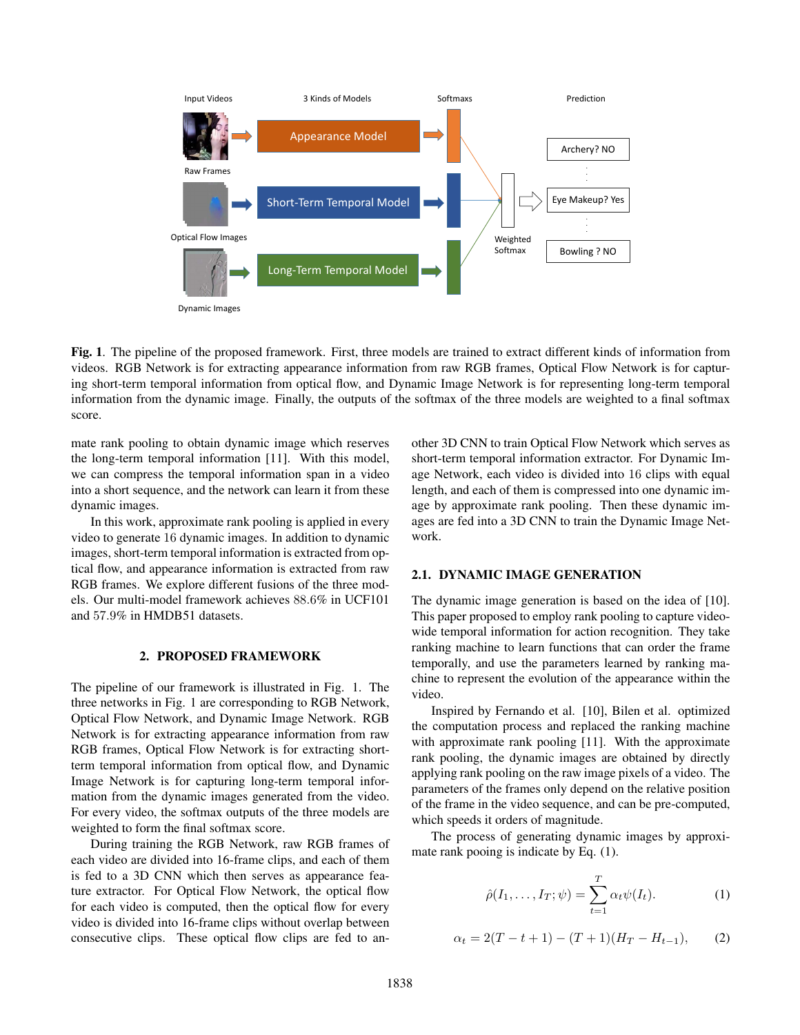

Fig. 1. The pipeline of the proposed framework. First, three models are trained to extract different kinds of information from videos. RGB Network is for extracting appearance information from raw RGB frames, Optical Flow Network is for capturing short-term temporal information from optical flow, and Dynamic Image Network is for representing long-term temporal information from the dynamic image. Finally, the outputs of the softmax of the three models are weighted to a final softmax score.

mate rank pooling to obtain dynamic image which reserves the long-term temporal information [11]. With this model, we can compress the temporal information span in a video into a short sequence, and the network can learn it from these dynamic images.

In this work, approximate rank pooling is applied in every video to generate 16 dynamic images. In addition to dynamic images, short-term temporal information is extracted from optical flow, and appearance information is extracted from raw RGB frames. We explore different fusions of the three models. Our multi-model framework achieves 88.6% in UCF101 and 57.9% in HMDB51 datasets.

## 2. PROPOSED FRAMEWORK

The pipeline of our framework is illustrated in Fig. 1. The three networks in Fig. 1 are corresponding to RGB Network, Optical Flow Network, and Dynamic Image Network. RGB Network is for extracting appearance information from raw RGB frames, Optical Flow Network is for extracting shortterm temporal information from optical flow, and Dynamic Image Network is for capturing long-term temporal information from the dynamic images generated from the video. For every video, the softmax outputs of the three models are weighted to form the final softmax score.

During training the RGB Network, raw RGB frames of each video are divided into 16-frame clips, and each of them is fed to a 3D CNN which then serves as appearance feature extractor. For Optical Flow Network, the optical flow for each video is computed, then the optical flow for every video is divided into 16-frame clips without overlap between consecutive clips. These optical flow clips are fed to another 3D CNN to train Optical Flow Network which serves as short-term temporal information extractor. For Dynamic Image Network, each video is divided into 16 clips with equal length, and each of them is compressed into one dynamic image by approximate rank pooling. Then these dynamic images are fed into a 3D CNN to train the Dynamic Image Network.

#### 2.1. DYNAMIC IMAGE GENERATION

The dynamic image generation is based on the idea of [10]. This paper proposed to employ rank pooling to capture videowide temporal information for action recognition. They take ranking machine to learn functions that can order the frame temporally, and use the parameters learned by ranking machine to represent the evolution of the appearance within the video.

Inspired by Fernando et al. [10], Bilen et al. optimized the computation process and replaced the ranking machine with approximate rank pooling [11]. With the approximate rank pooling, the dynamic images are obtained by directly applying rank pooling on the raw image pixels of a video. The parameters of the frames only depend on the relative position of the frame in the video sequence, and can be pre-computed, which speeds it orders of magnitude.

The process of generating dynamic images by approximate rank pooing is indicate by Eq. (1).

$$
\hat{\rho}(I_1,\ldots,I_T;\psi) = \sum_{t=1}^T \alpha_t \psi(I_t). \tag{1}
$$

$$
\alpha_t = 2(T - t + 1) - (T + 1)(H_T - H_{t-1}), \qquad (2)
$$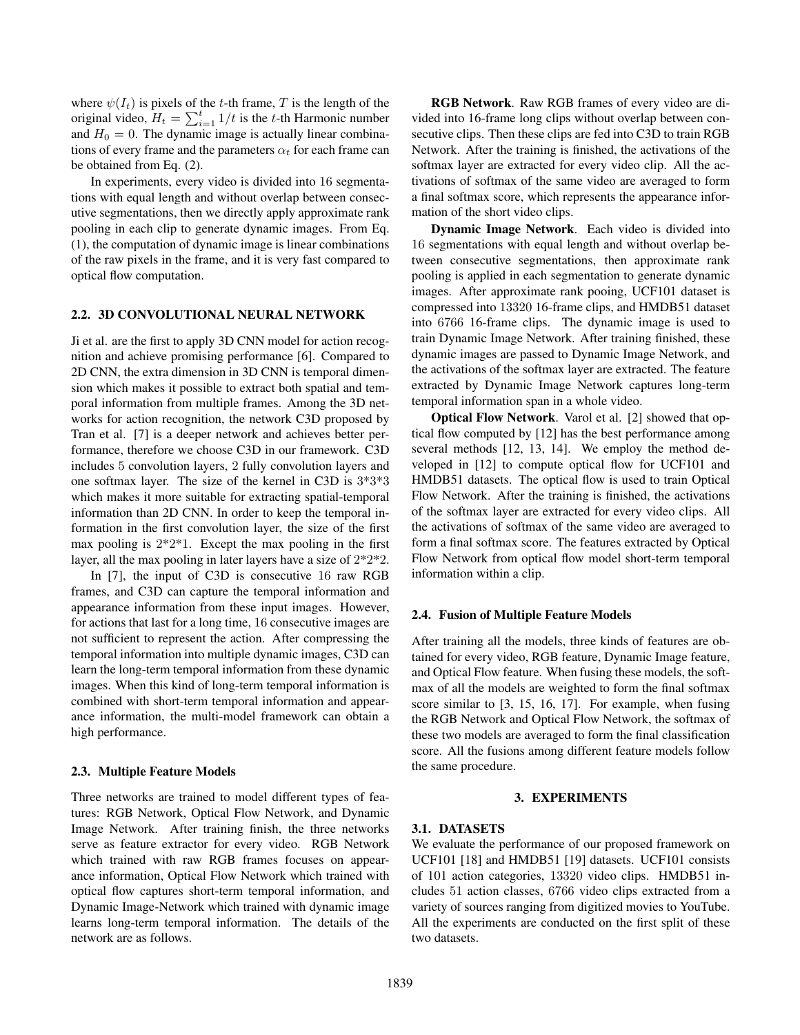where  $\psi(I_t)$  is pixels of the t-th frame, T is the length of the original video,  $H_t = \sum_{i=1}^t 1/t$  is the t-th Harmonic number and  $H_0 = 0$ . The dynamic image is actually linear combinations of every frame and the parameters  $\alpha_t$  for each frame can be obtained from Eq. (2).

In experiments, every video is divided into 16 segmentations with equal length and without overlap between consecutive segmentations, then we directly apply approximate rank pooling in each clip to generate dynamic images. From Eq. (1), the computation of dynamic image is linear combinations of the raw pixels in the frame, and it is very fast compared to optical flow computation.

# 2.2. 3D CONVOLUTIONAL NEURAL NETWORK

Ji et al. are the first to apply 3D CNN model for action recognition and achieve promising performance [6]. Compared to 2D CNN, the extra dimension in 3D CNN is temporal dimension which makes it possible to extract both spatial and temporal information from multiple frames. Among the 3D networks for action recognition, the network C3D proposed by Tran et al. [7] is a deeper network and achieves better performance, therefore we choose C3D in our framework. C3D includes 5 convolution layers, 2 fully convolution layers and one softmax layer. The size of the kernel in C3D is 3\*3\*3 which makes it more suitable for extracting spatial-temporal information than 2D CNN. In order to keep the temporal information in the first convolution layer, the size of the first max pooling is  $2*2*1$ . Except the max pooling in the first layer, all the max pooling in later layers have a size of 2\*2\*2.

In [7], the input of C3D is consecutive 16 raw RGB frames, and C3D can capture the temporal information and appearance information from these input images. However, for actions that last for a long time, 16 consecutive images are not sufficient to represent the action. After compressing the temporal information into multiple dynamic images, C3D can learn the long-term temporal information from these dynamic images. When this kind of long-term temporal information is combined with short-term temporal information and appearance information, the multi-model framework can obtain a high performance.

#### 2.3. Multiple Feature Models

Three networks are trained to model different types of features: RGB Network, Optical Flow Network, and Dynamic Image Network. After training finish, the three networks serve as feature extractor for every video. RGB Network which trained with raw RGB frames focuses on appearance information, Optical Flow Network which trained with optical flow captures short-term temporal information, and Dynamic Image-Network which trained with dynamic image learns long-term temporal information. The details of the network are as follows.

RGB Network. Raw RGB frames of every video are divided into 16-frame long clips without overlap between consecutive clips. Then these clips are fed into C3D to train RGB Network. After the training is finished, the activations of the softmax layer are extracted for every video clip. All the activations of softmax of the same video are averaged to form a final softmax score, which represents the appearance information of the short video clips.

Dynamic Image Network. Each video is divided into 16 segmentations with equal length and without overlap between consecutive segmentations, then approximate rank pooling is applied in each segmentation to generate dynamic images. After approximate rank pooing, UCF101 dataset is compressed into 13320 16-frame clips, and HMDB51 dataset into 6766 16-frame clips. The dynamic image is used to train Dynamic Image Network. After training finished, these dynamic images are passed to Dynamic Image Network, and the activations of the softmax layer are extracted. The feature extracted by Dynamic Image Network captures long-term temporal information span in a whole video.

Optical Flow Network. Varol et al. [2] showed that optical flow computed by [12] has the best performance among several methods [12, 13, 14]. We employ the method developed in [12] to compute optical flow for UCF101 and HMDB51 datasets. The optical flow is used to train Optical Flow Network. After the training is finished, the activations of the softmax layer are extracted for every video clips. All the activations of softmax of the same video are averaged to form a final softmax score. The features extracted by Optical Flow Network from optical flow model short-term temporal information within a clip.

#### 2.4. Fusion of Multiple Feature Models

After training all the models, three kinds of features are obtained for every video, RGB feature, Dynamic Image feature, and Optical Flow feature. When fusing these models, the softmax of all the models are weighted to form the final softmax score similar to [3, 15, 16, 17]. For example, when fusing the RGB Network and Optical Flow Network, the softmax of these two models are averaged to form the final classification score. All the fusions among different feature models follow the same procedure.

# 3. EXPERIMENTS

#### 3.1. DATASETS

We evaluate the performance of our proposed framework on UCF101 [18] and HMDB51 [19] datasets. UCF101 consists of 101 action categories, 13320 video clips. HMDB51 includes 51 action classes, 6766 video clips extracted from a variety of sources ranging from digitized movies to YouTube. All the experiments are conducted on the first split of these two datasets.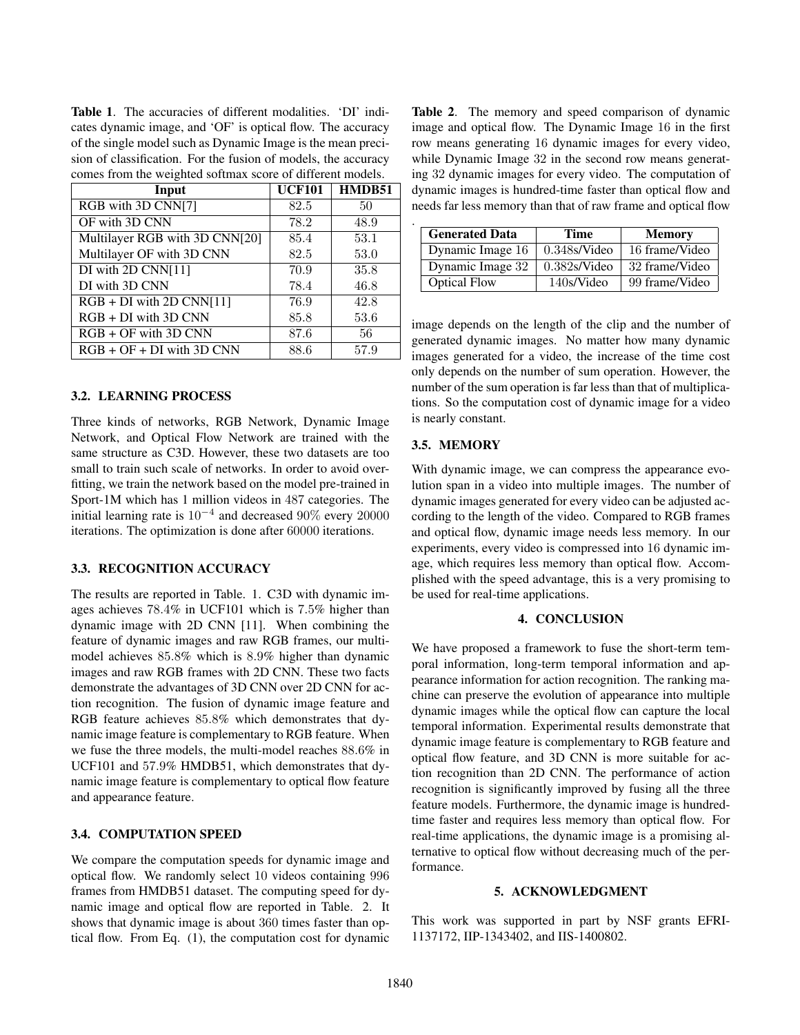Table 1. The accuracies of different modalities. 'DI' indicates dynamic image, and 'OF' is optical flow. The accuracy of the single model such as Dynamic Image is the mean precision of classification. For the fusion of models, the accuracy comes from the weighted softmax score of different models.

| Input                          | <b>UCF101</b> | HMDB51 |
|--------------------------------|---------------|--------|
| RGB with 3D CNN[7]             | 82.5          | 50     |
| OF with 3D CNN                 | 78.2          | 48.9   |
| Multilayer RGB with 3D CNN[20] | 85.4          | 53.1   |
| Multilayer OF with 3D CNN      | 82.5          | 53.0   |
| DI with 2D CNN[11]             | 70.9          | 35.8   |
| DI with 3D CNN                 | 78.4          | 46.8   |
| $RGB + DI$ with 2D CNN[11]     | 76.9          | 42.8   |
| $RGB + DI$ with 3D CNN         | 85.8          | 53.6   |
| $RGB + OF$ with 3D CNN         | 87.6          | 56     |
| $RGB + OF + DI$ with 3D CNN    | 88.6          | 57.9   |

### 3.2. LEARNING PROCESS

Three kinds of networks, RGB Network, Dynamic Image Network, and Optical Flow Network are trained with the same structure as C3D. However, these two datasets are too small to train such scale of networks. In order to avoid overfitting, we train the network based on the model pre-trained in Sport-1M which has 1 million videos in 487 categories. The initial learning rate is  $10^{-4}$  and decreased 90% every 20000 iterations. The optimization is done after 60000 iterations.

### 3.3. RECOGNITION ACCURACY

The results are reported in Table. 1. C3D with dynamic images achieves 78.4% in UCF101 which is 7.5% higher than dynamic image with 2D CNN [11]. When combining the feature of dynamic images and raw RGB frames, our multimodel achieves 85.8% which is 8.9% higher than dynamic images and raw RGB frames with 2D CNN. These two facts demonstrate the advantages of 3D CNN over 2D CNN for action recognition. The fusion of dynamic image feature and RGB feature achieves 85.8% which demonstrates that dynamic image feature is complementary to RGB feature. When we fuse the three models, the multi-model reaches 88.6% in UCF101 and 57.9% HMDB51, which demonstrates that dynamic image feature is complementary to optical flow feature and appearance feature.

#### 3.4. COMPUTATION SPEED

We compare the computation speeds for dynamic image and optical flow. We randomly select 10 videos containing 996 frames from HMDB51 dataset. The computing speed for dynamic image and optical flow are reported in Table. 2. It shows that dynamic image is about 360 times faster than optical flow. From Eq. (1), the computation cost for dynamic Table 2. The memory and speed comparison of dynamic image and optical flow. The Dynamic Image 16 in the first row means generating 16 dynamic images for every video, while Dynamic Image 32 in the second row means generating 32 dynamic images for every video. The computation of dynamic images is hundred-time faster than optical flow and needs far less memory than that of raw frame and optical flow

| <b>Generated Data</b> | Time            | <b>Memory</b>  |
|-----------------------|-----------------|----------------|
| Dynamic Image 16      | $0.348$ s/Video | 16 frame/Video |
| Dynamic Image 32      | $0.382$ s/Video | 32 frame/Video |
| <b>Optical Flow</b>   | 140s/Video      | 99 frame/Video |

image depends on the length of the clip and the number of generated dynamic images. No matter how many dynamic images generated for a video, the increase of the time cost only depends on the number of sum operation. However, the number of the sum operation is far less than that of multiplications. So the computation cost of dynamic image for a video is nearly constant.

# 3.5. MEMORY

With dynamic image, we can compress the appearance evolution span in a video into multiple images. The number of dynamic images generated for every video can be adjusted according to the length of the video. Compared to RGB frames and optical flow, dynamic image needs less memory. In our experiments, every video is compressed into 16 dynamic image, which requires less memory than optical flow. Accomplished with the speed advantage, this is a very promising to be used for real-time applications.

# 4. CONCLUSION

We have proposed a framework to fuse the short-term temporal information, long-term temporal information and appearance information for action recognition. The ranking machine can preserve the evolution of appearance into multiple dynamic images while the optical flow can capture the local temporal information. Experimental results demonstrate that dynamic image feature is complementary to RGB feature and optical flow feature, and 3D CNN is more suitable for action recognition than 2D CNN. The performance of action recognition is significantly improved by fusing all the three feature models. Furthermore, the dynamic image is hundredtime faster and requires less memory than optical flow. For real-time applications, the dynamic image is a promising alternative to optical flow without decreasing much of the performance.

### 5. ACKNOWLEDGMENT

This work was supported in part by NSF grants EFRI-1137172, IIP-1343402, and IIS-1400802.